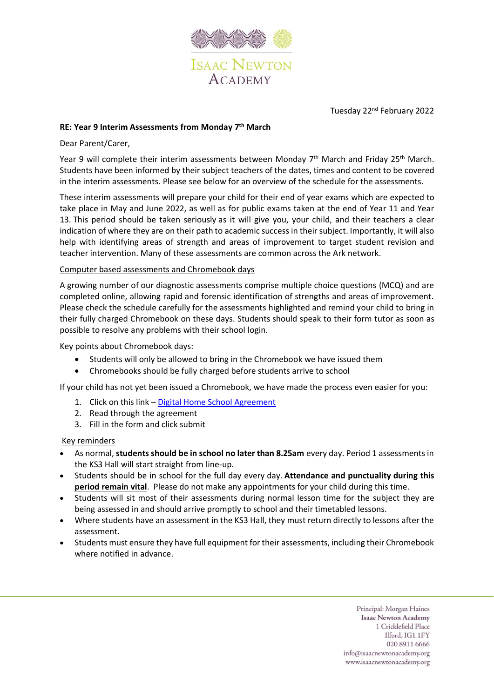

Tuesday 22nd February 2022

# **RE: Year 9 Interim Assessments from Monday 7 th March**

## Dear Parent/Carer,

Year 9 will complete their interim assessments between Monday 7<sup>th</sup> March and Friday 25<sup>th</sup> March. Students have been informed by their subject teachers of the dates, times and content to be covered in the interim assessments. Please see below for an overview of the schedule for the assessments.

These interim assessments will prepare your child for their end of year exams which are expected to take place in May and June 2022, as well as for public exams taken at the end of Year 11 and Year 13. This period should be taken seriously as it will give you, your child, and their teachers a clear indication of where they are on their path to academic success in their subject. Importantly, it will also help with identifying areas of strength and areas of improvement to target student revision and teacher intervention. Many of these assessments are common across the Ark network.

### Computer based assessments and Chromebook days

A growing number of our diagnostic assessments comprise multiple choice questions (MCQ) and are completed online, allowing rapid and forensic identification of strengths and areas of improvement. Please check the schedule carefully for the assessments highlighted and remind your child to bring in their fully charged Chromebook on these days. Students should speak to their form tutor as soon as possible to resolve any problems with their school login.

Key points about Chromebook days:

- Students will only be allowed to bring in the Chromebook we have issued them
- Chromebooks should be fully charged before students arrive to school

If your child has not yet been issued a Chromebook, we have made the process even easier for you:

- 1. Click on this link [Digital Home School Agreement](https://forms.office.com/pages/responsepage.aspx?id=dBTLADSljUaCn2NuzjLCTKinnypsxypCo2wjdxFJVq5UOENYRzZGVE8wQk9KQVkxOEpDRDVGWDBaQi4u)
- 2. Read through the agreement
- 3. Fill in the form and click submit

## Key reminders

- As normal, **students should be in school no later than 8.25am** every day. Period 1 assessments in the KS3 Hall will start straight from line-up.
- Students should be in school for the full day every day. **Attendance and punctuality during this period remain vital**. Please do not make any appointments for your child during this time.
- Students will sit most of their assessments during normal lesson time for the subject they are being assessed in and should arrive promptly to school and their timetabled lessons.
- Where students have an assessment in the KS3 Hall, they must return directly to lessons after the assessment.
- Students must ensure they have full equipment for their assessments, including their Chromebook where notified in advance.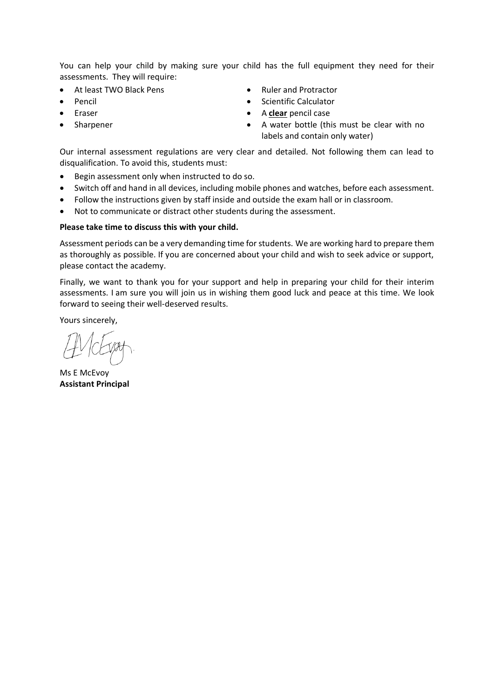You can help your child by making sure your child has the full equipment they need for their assessments. They will require:

- At least TWO Black Pens
- Pencil
- **Eraser**
- **Sharpener**
- Ruler and Protractor
- Scientific Calculator
- A **clear** pencil case
- A water bottle (this must be clear with no labels and contain only water)

Our internal assessment regulations are very clear and detailed. Not following them can lead to disqualification. To avoid this, students must:

- Begin assessment only when instructed to do so.
- Switch off and hand in all devices, including mobile phones and watches, before each assessment.
- Follow the instructions given by staff inside and outside the exam hall or in classroom.
- Not to communicate or distract other students during the assessment.

### **Please take time to discuss this with your child.**

Assessment periods can be a very demanding time for students. We are working hard to prepare them as thoroughly as possible. If you are concerned about your child and wish to seek advice or support, please contact the academy.

Finally, we want to thank you for your support and help in preparing your child for their interim assessments. I am sure you will join us in wishing them good luck and peace at this time. We look forward to seeing their well-deserved results.

Yours sincerely,

Ms E McEvoy **Assistant Principal**